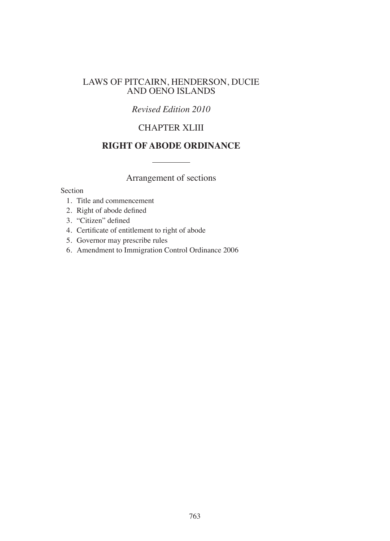### LAWS OF PITCAIRN, HENDERSON, DUCIE AND OENO ISLANDS

### *Revised Edition 2010*

# CHAPTER XLIII

## **RIGHT OF ABODE ORDINANCE**

Arrangement of sections

#### Section

- 1. Title and commencement
- 2. Right of abode defined
- 3. "Citizen" defined
- 4. Certiicate of entitlement to right of abode
- 5. Governor may prescribe rules
- 6. Amendment to Immigration Control Ordinance 2006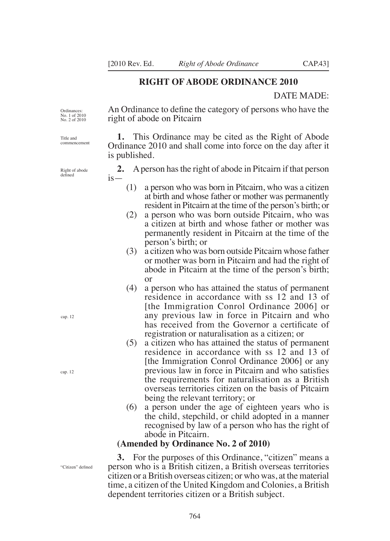right of abode on Pitcairn

#### **RIGHT OF ABODE ORDINANCE 2010**

An Ordinance to define the category of persons who have the

#### DATE MADE:

Ordinances: No. 1 of 2010 No. 2 of 2010

Title and commencement

Right of abode defined

cap. 12

cap. 12

**1.** This Ordinance may be cited as the Right of Abode Ordinance 2010 and shall come into force on the day after it is published.

**2.** A person has the right of abode in Pitcairn if that person  $is-$ 

- (1) a person who was born in Pitcairn, who was a citizen at birth and whose father or mother was permanently resident in Pitcairn at the time of the person's birth; or
- (2) a person who was born outside Pitcairn, who was a citizen at birth and whose father or mother was permanently resident in Pitcairn at the time of the person's birth; or
- (3) a citizen who was born outside Pitcairn whose father or mother was born in Pitcairn and had the right of abode in Pitcairn at the time of the person's birth; or
- (4) a person who has attained the status of permanent residence in accordance with ss 12 and 13 of [the Immigration Conrol Ordinance 2006] or any previous law in force in Pitcairn and who has received from the Governor a certificate of registration or naturalisation as a citizen; or
- (5) a citizen who has attained the status of permanent residence in accordance with ss 12 and 13 of [the Immigration Conrol Ordinance 2006] or any previous law in force in Pitcairn and who satisies the requirements for naturalisation as a British overseas territories citizen on the basis of Pitcairn being the relevant territory; or
- (6) a person under the age of eighteen years who is the child, stepchild, or child adopted in a manner recognised by law of a person who has the right of abode in Pitcairn.

#### **(Amended by Ordinance No. 2 of 2010)**

764

**3.** For the purposes of this Ordinance, "citizen" means a person who is a British citizen, a British overseas territories citizen or a British overseas citizen; or who was, at the material time, a citizen of the United Kingdom and Colonies, a British dependent territories citizen or a British subject.

"Citizen" defined